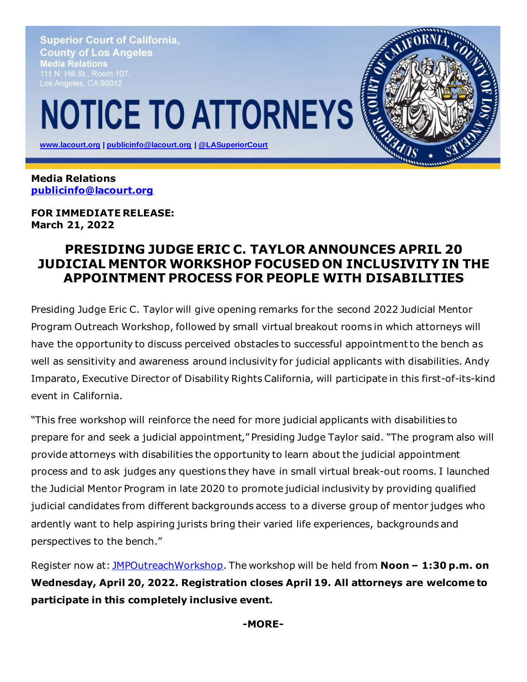**Superior Court of California, County of Los Angeles** Media Relations Los Angeles, CA 90012

## **NOTICE TO ATTORNEYS**

 **[www.lacourt.org](http://www.lacourt.org/) | [publicinfo@lacourt.org](mailto:publicinfo@lacourt.org) [| @LASuperiorCourt](https://twitter.com/LASuperiorCourt)**

**Media Relations [publicinfo@lacourt.org](mailto:publicinfo@lacourt.org)**

**FOR IMMEDIATE RELEASE: March 21, 2022**

## **PRESIDING JUDGE ERIC C. TAYLOR ANNOUNCES APRIL 20 JUDICIAL MENTOR WORKSHOP FOCUSED ON INCLUSIVITY IN THE APPOINTMENT PROCESS FOR PEOPLE WITH DISABILITIES**

Presiding Judge Eric C. Taylor will give opening remarks for the second 2022 Judicial Mentor Program Outreach Workshop, followed by small virtual breakout rooms in which attorneys will have the opportunity to discuss perceived obstacles to successful appointment to the bench as well as sensitivity and awareness around inclusivity for judicial applicants with disabilities. Andy Imparato, Executive Director of Disability Rights California, will participate in this first-of-its-kind event in California.

"This free workshop will reinforce the need for more judicial applicants with disabilities to prepare for and seek a judicial appointment," Presiding Judge Taylor said. "The program also will provide attorneys with disabilities the opportunity to learn about the judicial appointment process and to ask judges any questions they have in small virtual break-out rooms. I launched the Judicial Mentor Program in late 2020 to promote judicial inclusivity by providing qualified judicial candidates from different backgrounds access to a diverse group of mentor judges who ardently want to help aspiring jurists bring their varied life experiences, backgrounds and perspectives to the bench."

Register now at: [JMPOutreachWorkshop](https://www.surveymonkey.com/r/JMPApril22). The workshop will be held from **Noon – 1:30 p.m. on Wednesday, April 20, 2022. Registration closes April 19. All attorneys are welcome to participate in this completely inclusive event.**